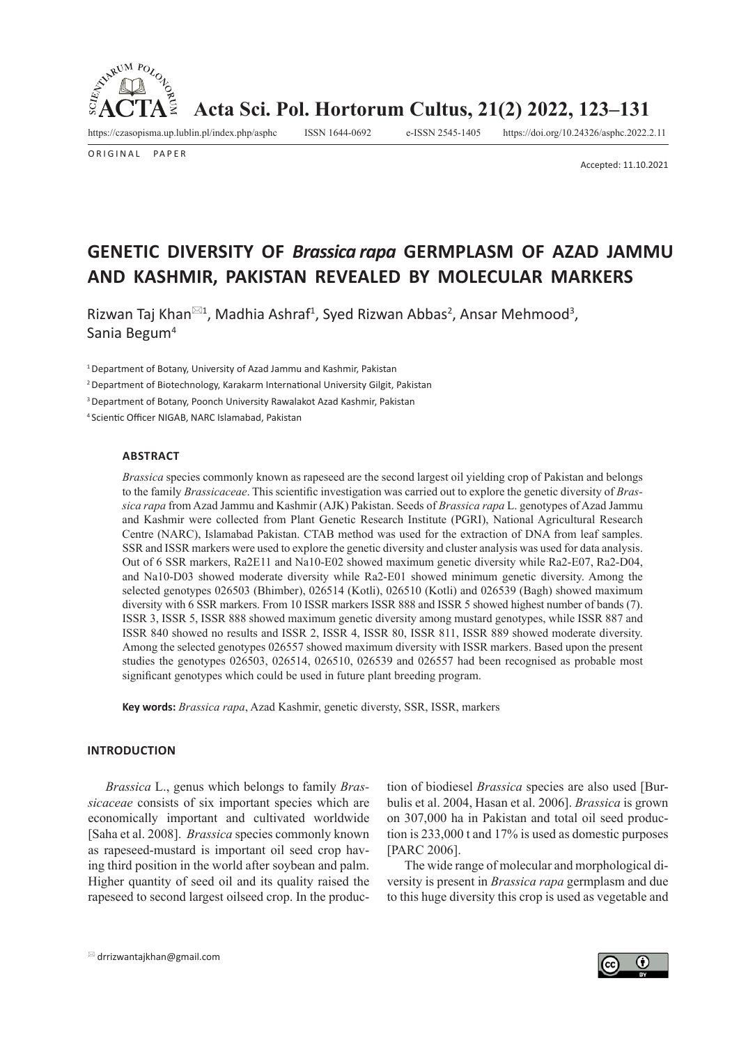

O RIGINAL PAPER

**Acta Sci. Pol. Hortorum Cultus, 21(2) 2022, 123–131**

https://czasopisma.up.lublin.pl/index.php/asphc ISSN 1644-0692 e-ISSN 2545-1405 https://doi.org/10.24326/asphc.2022.2.11

Accepted: 11.10.2021

# **GENETIC DIVERSITY OF** *Brassica rapa* **GERMPLASM OF AZAD JAMMU AND KASHMIR, PAKISTAN REVEALED BY MOLECULAR MARKERS**

Rizwan Taj Khan $^{\boxtimes 1}$ , Madhia Ashraf<sup>1</sup>, Syed Rizwan Abbas<sup>2</sup>, Ansar Mehmood<sup>3</sup>, Sania Begum4

1 Department of Botany, University of Azad Jammu and Kashmir, Pakistan

<sup>2</sup>Department of Biotechnology, Karakarm International University Gilgit, Pakistan

3 Department of Botany, Poonch University Rawalakot Azad Kashmir, Pakistan

<sup>4</sup>Scientic Officer NIGAB, NARC Islamabad, Pakistan

#### **ABSTRACT**

*Brassica* species commonly known as rapeseed are the second largest oil yielding crop of Pakistan and belongs to the family *Brassicaceae*. This scientific investigation was carried out to explore the genetic diversity of *Brassica rapa* from Azad Jammu and Kashmir (AJK) Pakistan. Seeds of *Brassica rapa* L. genotypes of Azad Jammu and Kashmir were collected from Plant Genetic Research Institute (PGRI), National Agricultural Research Centre (NARC), Islamabad Pakistan. CTAB method was used for the extraction of DNA from leaf samples. SSR and ISSR markers were used to explore the genetic diversity and cluster analysis was used for data analysis. Out of 6 SSR markers, Ra2E11 and Na10-E02 showed maximum genetic diversity while Ra2-E07, Ra2-D04, and Na10-D03 showed moderate diversity while Ra2-E01 showed minimum genetic diversity. Among the selected genotypes 026503 (Bhimber), 026514 (Kotli), 026510 (Kotli) and 026539 (Bagh) showed maximum diversity with 6 SSR markers. From 10 ISSR markers ISSR 888 and ISSR 5 showed highest number of bands (7). ISSR 3, ISSR 5, ISSR 888 showed maximum genetic diversity among mustard genotypes, while ISSR 887 and ISSR 840 showed no results and ISSR 2, ISSR 4, ISSR 80, ISSR 811, ISSR 889 showed moderate diversity. Among the selected genotypes 026557 showed maximum diversity with ISSR markers. Based upon the present studies the genotypes 026503, 026514, 026510, 026539 and 026557 had been recognised as probable most significant genotypes which could be used in future plant breeding program.

**Key words:** *Brassica rapa*, Azad Kashmir, genetic diversty, SSR, ISSR, markers

#### **INTRODUCTION**

*Brassica* L., genus which belongs to family *Brassicaceae* consists of six important species which are economically important and cultivated worldwide [Saha et al. 2008]. *Brassica* species commonly known as rapeseed-mustard is important oil seed crop having third position in the world after soybean and palm. Higher quantity of seed oil and its quality raised the rapeseed to second largest oilseed crop. In the production of biodiesel *Brassica* species are also used [Burbulis et al. 2004, Hasan et al. 2006]. *Brassica* is grown on 307,000 ha in Pakistan and total oil seed production is 233,000 t and 17% is used as domestic purposes [PARC 2006].

The wide range of molecular and morphological diversity is present in *Brassica rapa* germplasm and due to this huge diversity this crop is used as vegetable and

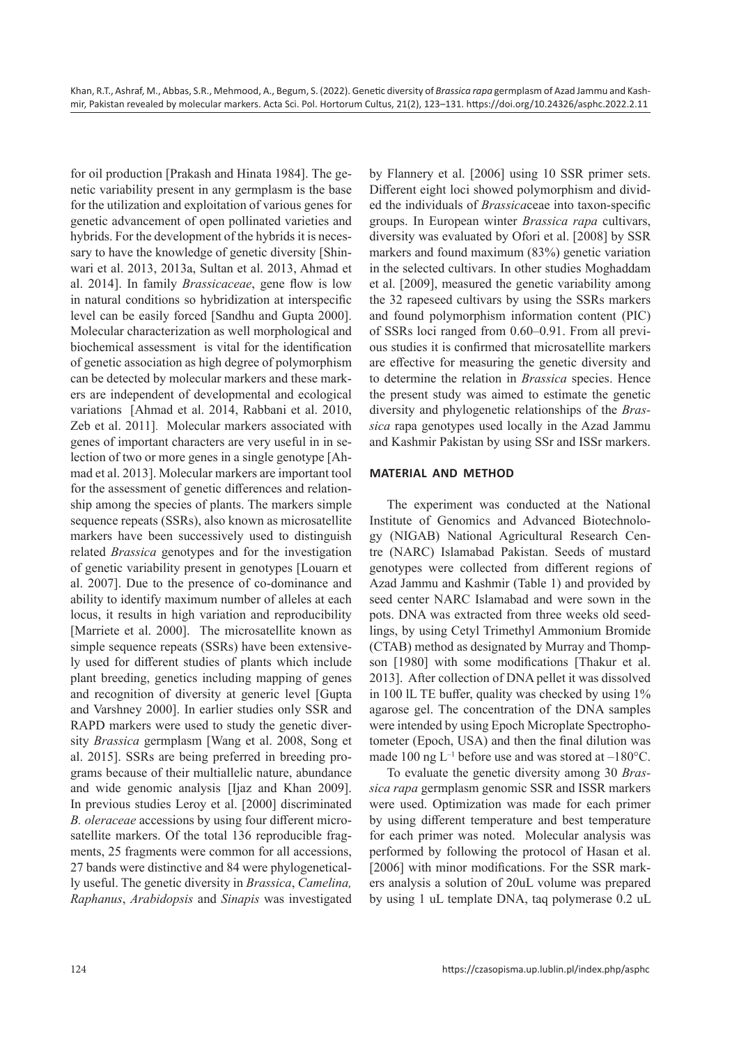for oil production [Prakash and Hinata 1984]. The genetic variability present in any germplasm is the base for the utilization and exploitation of various genes for genetic advancement of open pollinated varieties and hybrids. For the development of the hybrids it is necessary to have the knowledge of genetic diversity [Shinwari et al. 2013, 2013a, Sultan et al. 2013, Ahmad et al. 2014]. In family *Brassicaceae*, gene flow is low in natural conditions so hybridization at interspecific level can be easily forced [Sandhu and Gupta 2000]. Molecular characterization as well morphological and biochemical assessment is vital for the identification of genetic association as high degree of polymorphism can be detected by molecular markers and these markers are independent of developmental and ecological variations [Ahmad et al. 2014, Rabbani et al. 2010, Zeb et al. 2011]. Molecular markers associated with genes of important characters are very useful in in selection of two or more genes in a single genotype [Ahmad et al. 2013]. Molecular markers are important tool for the assessment of genetic differences and relationship among the species of plants. The markers simple sequence repeats (SSRs), also known as microsatellite markers have been successively used to distinguish related *Brassica* genotypes and for the investigation of genetic variability present in genotypes [Louarn et al. 2007]. Due to the presence of co-dominance and ability to identify maximum number of alleles at each locus, it results in high variation and reproducibility [Marriete et al. 2000]. The microsatellite known as simple sequence repeats (SSRs) have been extensively used for different studies of plants which include plant breeding, genetics including mapping of genes and recognition of diversity at generic level [Gupta and Varshney 2000]. In earlier studies only SSR and RAPD markers were used to study the genetic diversity *Brassica* germplasm [Wang et al. 2008, Song et al. 2015]. SSRs are being preferred in breeding programs because of their multiallelic nature, abundance and wide genomic analysis [Ijaz and Khan 2009]. In previous studies Leroy et al. [2000] discriminated *B. oleraceae* accessions by using four different microsatellite markers. Of the total 136 reproducible fragments, 25 fragments were common for all accessions, 27 bands were distinctive and 84 were phylogenetically useful. The genetic diversity in *Brassica*, *Camelina, Raphanus*, *Arabidopsis* and *Sinapis* was investigated

by Flannery et al. [2006] using 10 SSR primer sets. Different eight loci showed polymorphism and divided the individuals of *Brassica*ceae into taxon-specific groups. In European winter *Brassica rapa* cultivars, diversity was evaluated by Ofori et al. [2008] by SSR markers and found maximum (83%) genetic variation in the selected cultivars. In other studies Moghaddam et al. [2009], measured the genetic variability among the 32 rapeseed cultivars by using the SSRs markers and found polymorphism information content (PIC) of SSRs loci ranged from 0.60–0.91. From all previous studies it is confirmed that microsatellite markers are effective for measuring the genetic diversity and to determine the relation in *Brassica* species. Hence the present study was aimed to estimate the genetic diversity and phylogenetic relationships of the *Brassica* rapa genotypes used locally in the Azad Jammu and Kashmir Pakistan by using SSr and ISSr markers.

#### **MATERIAL AND METHOD**

The experiment was conducted at the National Institute of Genomics and Advanced Biotechnology (NIGAB) National Agricultural Research Centre (NARC) Islamabad Pakistan. Seeds of mustard genotypes were collected from different regions of Azad Jammu and Kashmir (Table 1) and provided by seed center NARC Islamabad and were sown in the pots. DNA was extracted from three weeks old seedlings, by using Cetyl Trimethyl Ammonium Bromide (CTAB) method as designated by Murray and Thompson [1980] with some modifications [Thakur et al. 2013]. After collection of DNA pellet it was dissolved in 100 lL TE buffer, quality was checked by using 1% agarose gel. The concentration of the DNA samples were intended by using Epoch Microplate Spectrophotometer (Epoch, USA) and then the final dilution was made 100 ng  $L^{-1}$  before use and was stored at  $-180^{\circ}$ C.

To evaluate the genetic diversity among 30 *Brassica rapa* germplasm genomic SSR and ISSR markers were used. Optimization was made for each primer by using different temperature and best temperature for each primer was noted. Molecular analysis was performed by following the protocol of Hasan et al. [2006] with minor modifications. For the SSR markers analysis a solution of 20uL volume was prepared by using 1 uL template DNA, taq polymerase 0.2 uL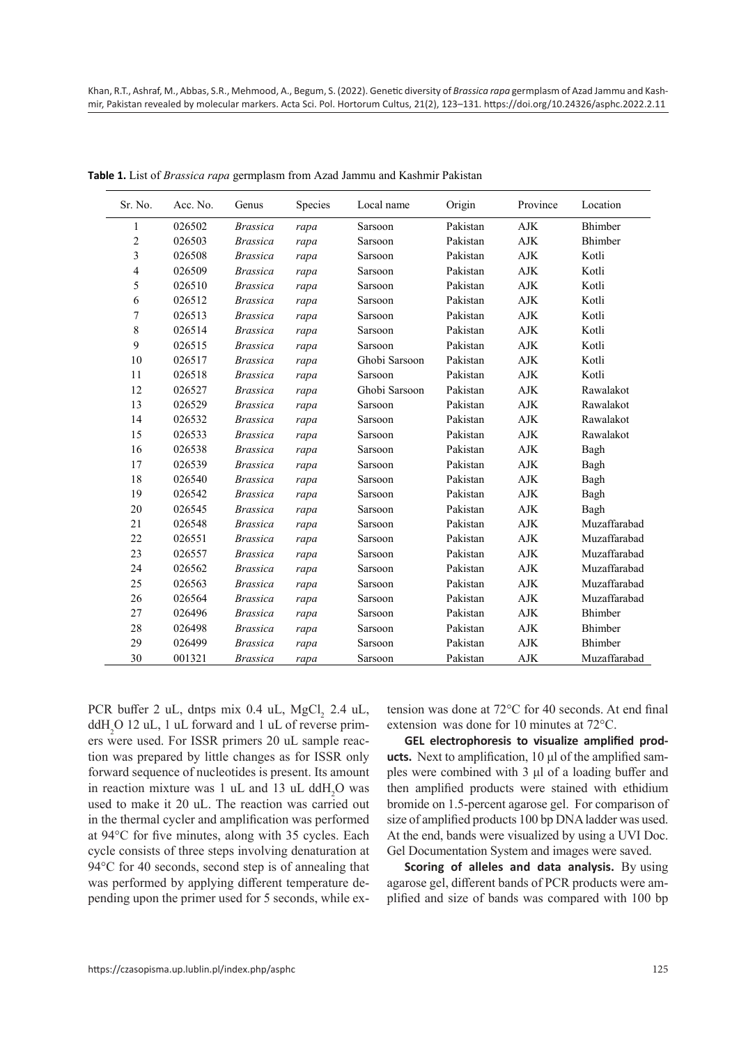| Sr. No.        | Acc. No. | Genus           | Species | Local name    | Origin   | Province    | Location     |
|----------------|----------|-----------------|---------|---------------|----------|-------------|--------------|
| 1              | 026502   | <b>Brassica</b> | rapa    | Sarsoon       | Pakistan | AJK         | Bhimber      |
| $\overline{c}$ | 026503   | <b>Brassica</b> | rapa    | Sarsoon       | Pakistan | ${\rm AJK}$ | Bhimber      |
| 3              | 026508   | <b>Brassica</b> | rapa    | Sarsoon       | Pakistan | <b>AJK</b>  | Kotli        |
| 4              | 026509   | <b>Brassica</b> | rapa    | Sarsoon       | Pakistan | <b>AJK</b>  | Kotli        |
| 5              | 026510   | <b>Brassica</b> | rapa    | Sarsoon       | Pakistan | ${\rm AJK}$ | Kotli        |
| 6              | 026512   | <b>Brassica</b> | rapa    | Sarsoon       | Pakistan | <b>AJK</b>  | Kotli        |
| 7              | 026513   | <b>Brassica</b> | rapa    | Sarsoon       | Pakistan | <b>AJK</b>  | Kotli        |
| 8              | 026514   | <b>Brassica</b> | rapa    | Sarsoon       | Pakistan | <b>AJK</b>  | Kotli        |
| 9              | 026515   | <b>Brassica</b> | rapa    | Sarsoon       | Pakistan | <b>AJK</b>  | Kotli        |
| 10             | 026517   | <b>Brassica</b> | rapa    | Ghobi Sarsoon | Pakistan | <b>AJK</b>  | Kotli        |
| 11             | 026518   | <b>Brassica</b> | rapa    | Sarsoon       | Pakistan | <b>AJK</b>  | Kotli        |
| 12             | 026527   | <b>Brassica</b> | rapa    | Ghobi Sarsoon | Pakistan | AJK         | Rawalakot    |
| 13             | 026529   | <b>Brassica</b> | rapa    | Sarsoon       | Pakistan | <b>AJK</b>  | Rawalakot    |
| 14             | 026532   | <b>Brassica</b> | rapa    | Sarsoon       | Pakistan | <b>AJK</b>  | Rawalakot    |
| 15             | 026533   | <b>Brassica</b> | rapa    | Sarsoon       | Pakistan | <b>AJK</b>  | Rawalakot    |
| 16             | 026538   | <b>Brassica</b> | rapa    | Sarsoon       | Pakistan | <b>AJK</b>  | Bagh         |
| 17             | 026539   | <b>Brassica</b> | rapa    | Sarsoon       | Pakistan | <b>AJK</b>  | Bagh         |
| 18             | 026540   | <b>Brassica</b> | rapa    | Sarsoon       | Pakistan | <b>AJK</b>  | Bagh         |
| 19             | 026542   | <b>Brassica</b> | rapa    | Sarsoon       | Pakistan | <b>AJK</b>  | Bagh         |
| 20             | 026545   | <b>Brassica</b> | rapa    | Sarsoon       | Pakistan | <b>AJK</b>  | Bagh         |
| 21             | 026548   | <b>Brassica</b> | rapa    | Sarsoon       | Pakistan | <b>AJK</b>  | Muzaffarabad |
| 22             | 026551   | <b>Brassica</b> | rapa    | Sarsoon       | Pakistan | <b>AJK</b>  | Muzaffarabad |
| 23             | 026557   | <b>Brassica</b> | rapa    | Sarsoon       | Pakistan | AJK         | Muzaffarabad |
| 24             | 026562   | <b>Brassica</b> | rapa    | Sarsoon       | Pakistan | <b>AJK</b>  | Muzaffarabad |
| 25             | 026563   | <b>Brassica</b> | rapa    | Sarsoon       | Pakistan | <b>AJK</b>  | Muzaffarabad |
| 26             | 026564   | <b>Brassica</b> | rapa    | Sarsoon       | Pakistan | <b>AJK</b>  | Muzaffarabad |
| 27             | 026496   | <b>Brassica</b> | rapa    | Sarsoon       | Pakistan | <b>AJK</b>  | Bhimber      |
| 28             | 026498   | <b>Brassica</b> | rapa    | Sarsoon       | Pakistan | <b>AJK</b>  | Bhimber      |
| 29             | 026499   | <b>Brassica</b> | rapa    | Sarsoon       | Pakistan | <b>AJK</b>  | Bhimber      |
| 30             | 001321   | <b>Brassica</b> | rapa    | Sarsoon       | Pakistan | AJK         | Muzaffarabad |

**Table 1.** List of *Brassica rapa* germplasm from Azad Jammu and Kashmir Pakistan

PCR buffer 2 uL, dntps mix 0.4 uL, MgCl, 2.4 uL, ddH<sub>2</sub>O 12 uL, 1 uL forward and 1 uL of reverse primers were used. For ISSR primers 20 uL sample reaction was prepared by little changes as for ISSR only forward sequence of nucleotides is present. Its amount in reaction mixture was 1 uL and 13 uL ddH<sub>2</sub>O was used to make it 20 uL. The reaction was carried out in the thermal cycler and amplification was performed at 94°C for five minutes, along with 35 cycles. Each cycle consists of three steps involving denaturation at 94°C for 40 seconds, second step is of annealing that was performed by applying different temperature depending upon the primer used for 5 seconds, while extension was done at 72°C for 40 seconds. At end final extensionwas done for 10 minutes at 72°C.

**GEL electrophoresis to visualize amplified products.** Next to amplification, 10 μl of the amplified samples were combined with 3 μl of a loading buffer and then amplified products were stained with ethidium bromide on 1.5-percent agarose gel. For comparison of size of amplified products 100 bp DNA ladder was used. At the end, bands were visualized by using a UVI Doc. Gel Documentation System and images were saved.

**Scoring of alleles and data analysis.** By using agarose gel, different bands of PCR products were amplified and size of bands was compared with 100 bp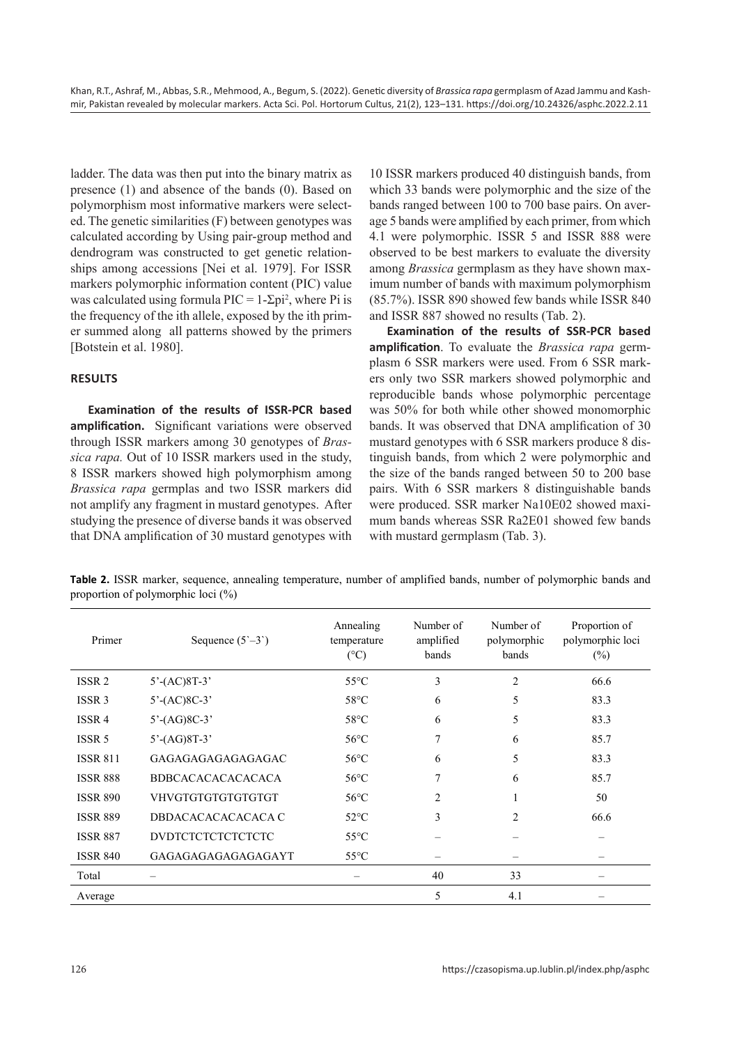ladder. The data was then put into the binary matrix as presence (1) and absence of the bands (0). Based on polymorphism most informative markers were selected. The genetic similarities (F) between genotypes was calculated according by Using pair-group method and dendrogram was constructed to get genetic relationships among accessions [Nei et al. 1979]. For ISSR markers polymorphic information content (PIC) value was calculated using formula  $\text{PIC} = 1-\Sigma \text{pi}^2$ , where Pi is the frequency of the ith allele, exposed by the ith primer summed along all patterns showed by the primers [Botstein et al. 1980].

## **RESULTS**

**Examination of the results of ISSR-PCR based amplification.** Significant variations were observed through ISSR markers among 30 genotypes of *Brassica rapa.* Out of 10 ISSR markers used in the study, 8 ISSR markers showed high polymorphism among *Brassica rapa* germplas and two ISSR markers did not amplify any fragment in mustard genotypes. After studying the presence of diverse bands it was observed that DNA amplification of 30 mustard genotypes with 10 ISSR markers produced 40 distinguish bands, from which 33 bands were polymorphic and the size of the bands ranged between 100 to 700 base pairs. On average 5 bands were amplified by each primer, from which 4.1 were polymorphic. ISSR 5 and ISSR 888 were observed to be best markers to evaluate the diversity among *Brassica* germplasm as they have shown maximum number of bands with maximum polymorphism (85.7%). ISSR 890 showed few bands while ISSR 840 and ISSR 887 showed no results (Tab. 2).

**Examination of the results of SSR-PCR based amplification**. To evaluate the *Brassica rapa* germplasm 6 SSR markers were used. From 6 SSR markers only two SSR markers showed polymorphic and reproducible bands whose polymorphic percentage was 50% for both while other showed monomorphic bands. It was observed that DNA amplification of 30 mustard genotypes with 6 SSR markers produce 8 distinguish bands, from which 2 were polymorphic and the size of the bands ranged between 50 to 200 base pairs. With 6 SSR markers 8 distinguishable bands were produced. SSR marker Na10E02 showed maximum bands whereas SSR Ra2E01 showed few bands with mustard germplasm (Tab. 3).

**Table 2.** ISSR marker, sequence, annealing temperature, number of amplified bands, number of polymorphic bands and proportion of polymorphic loci (%)

| Primer            | Sequence $(5^{\circ}-3^{\circ})$   | Annealing<br>temperature<br>$({}^{\circ}C)$ | Number of<br>amplified<br>bands | Number of<br>polymorphic<br>bands | Proportion of<br>polymorphic loci<br>$(\%)$ |
|-------------------|------------------------------------|---------------------------------------------|---------------------------------|-----------------------------------|---------------------------------------------|
| ISSR <sub>2</sub> | $5'-(AC)8T-3'$                     | $55^{\circ}$ C                              | 3                               | $\overline{2}$                    | 66.6                                        |
| ISSR <sub>3</sub> | $5^{\circ}$ -(AC)8C-3 <sup>'</sup> | $58^{\circ}$ C                              | 6                               | 5                                 | 83.3                                        |
| ISSR 4            | $5^{\circ}$ -(AG)8C-3'             | $58^{\circ}$ C                              | 6                               | 5                                 | 83.3                                        |
| ISSR 5            | $5'-(AG)8T-3'$                     | $56^{\circ}$ C                              | 7                               | 6                                 | 85.7                                        |
| <b>ISSR 811</b>   | GAGAGAGAGAGAGAGAC                  | $56^{\circ}$ C                              | 6                               | 5                                 | 83.3                                        |
| <b>ISSR 888</b>   | <b>BDBCACACACACACACA</b>           | $56^{\circ}$ C                              | 7                               | 6                                 | 85.7                                        |
| <b>ISSR 890</b>   | VHVGTGTGTGTGTGTGTGT                | $56^{\circ}$ C                              | 2                               |                                   | 50                                          |
| <b>ISSR 889</b>   | DBDACACACACACACA C                 | $52^{\circ}$ C                              | 3                               | $\overline{2}$                    | 66.6                                        |
| <b>ISSR 887</b>   | <b>DVDTCTCTCTCTCTCTC</b>           | $55^{\circ}$ C                              |                                 |                                   |                                             |
| <b>ISSR 840</b>   | GAGAGAGAGAGAGAGAYT                 | $55^{\circ}$ C                              |                                 |                                   |                                             |
| Total             |                                    |                                             | 40                              | 33                                |                                             |
| Average           |                                    |                                             | 5                               | 4.1                               |                                             |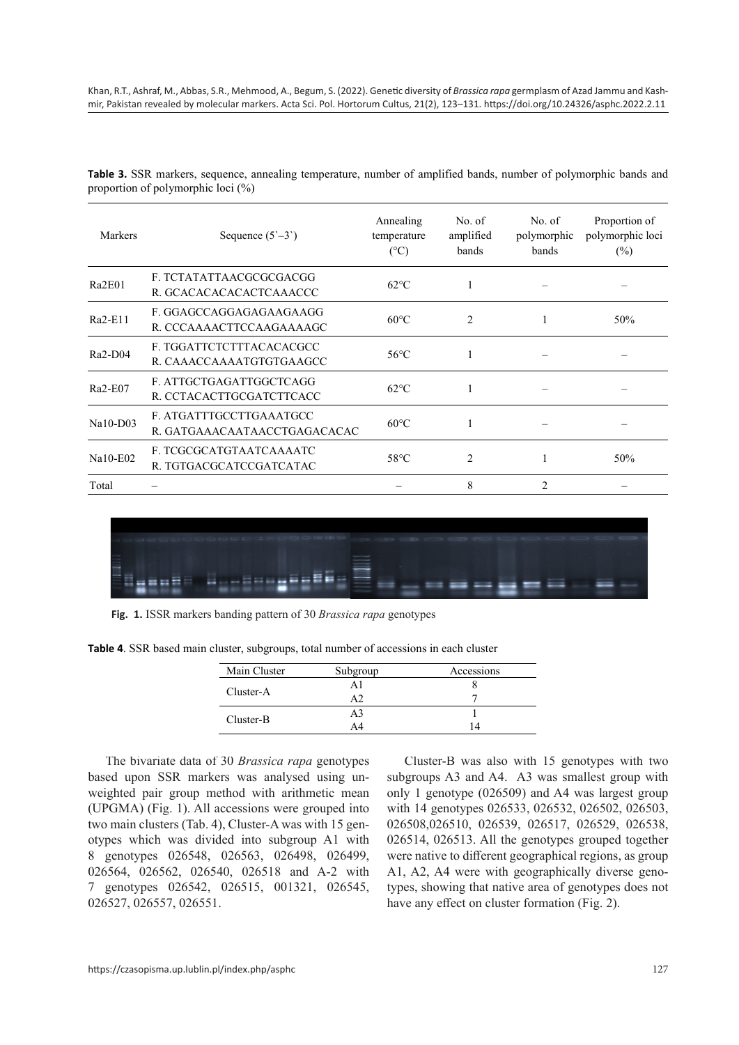| Table 3. SSR markers, sequence, annealing temperature, number of amplified bands, number of polymorphic bands and |  |  |  |  |  |
|-------------------------------------------------------------------------------------------------------------------|--|--|--|--|--|
| proportion of polymorphic loci (%)                                                                                |  |  |  |  |  |

| Markers    | Sequence $(5^{\circ}-3^{\circ})$                        | Annealing<br>temperature<br>$(^{\circ}C)$ | No. of<br>amplified<br>bands | No. of<br>polymorphic<br>bands | Proportion of<br>polymorphic loci<br>(%) |
|------------|---------------------------------------------------------|-------------------------------------------|------------------------------|--------------------------------|------------------------------------------|
| Ra2E01     | F. TCTATATTAACGCGCGACGG<br>R. GCACACACACACTCAAACCC      | $62^{\circ}$ C                            | 1                            |                                |                                          |
| $Ra2-E11$  | F. GGAGCCAGGAGAGAAGAAGG<br>R. CCCAAAACTTCCAAGAAAAGC     | $60^{\circ}$ C                            | $\overline{2}$               |                                | 50%                                      |
| $Ra2-D04$  | F. TGGATTCTCTTTACACACGCC<br>R. CAAACCAAAATGTGTGAAGCC    | $56^{\circ}$ C                            | 1                            |                                |                                          |
| $Ra2-E07$  | F. ATTGCTGAGATTGGCTCAGG<br>R. CCTACACTTGCGATCTTCACC     | $62^{\circ}$ C                            | 1                            |                                |                                          |
| $Na10-D03$ | F. ATGATTTGCCTTGAAATGCC<br>R. GATGAAACAATAACCTGAGACACAC | $60^{\circ}$ C                            | 1                            |                                |                                          |
| $Na10-E02$ | F. TCGCGCATGTAATCAAAATC<br>R. TGTGACGCATCCGATCATAC      | $58^{\circ}$ C                            | $\mathfrak{D}$               |                                | 50%                                      |
| Total      |                                                         |                                           | 8                            | $\mathfrak{D}$                 |                                          |



**Fig. 1.** ISSR markers banding pattern of 30 *Brassica rapa* genotypes

| Main Cluster | Subgroup | Accessions |  |
|--------------|----------|------------|--|
| Cluster-A    |          |            |  |
|              |          |            |  |
|              | A3       |            |  |
| Cluster-B    |          |            |  |

**Table 4**. SSR based main cluster, subgroups, total number of accessions in each cluster

The bivariate data of 30 *Brassica rapa* genotypes based upon SSR markers was analysed using un-<br>subgroups A3 and A4. A3 weighted pair group method with arithmetic mean only 1 genotype (026509)  $(UPGMA)$  (Fig. 1). All accessions were grouped into with 14 genotypes 02 $\alpha$ two main clusters (Tab. 4), Cluster-A was with 15 genotypes which was divided into subgroup A1 with otypes which was divided into subgroup A1 with<br>8 genotypes 026548, 026563, 026498, 026499, 026564, 026562, 026540, 026518 and A-2 with 7 genotypes 026542, 026515, 001321, 026545, 026527, 026557, 026551.

Cluster-B was also with 15 genotypes with two subgroups A3 and A4. A3 was smallest group with only 1 genotype (026509) and A4 was largest group with 14 genotypes 026533, 026532, 026502, 026503, 5 gen- 026508,026510, 026539, 026517, 026529, 026538, 026514, 026513. All the genotypes grouped together were native to different geographical regions, as group A1, A2, A4 were with geographically diverse genotypes, showing that native area of genotypes does not have any effect on cluster formation (Fig. 2).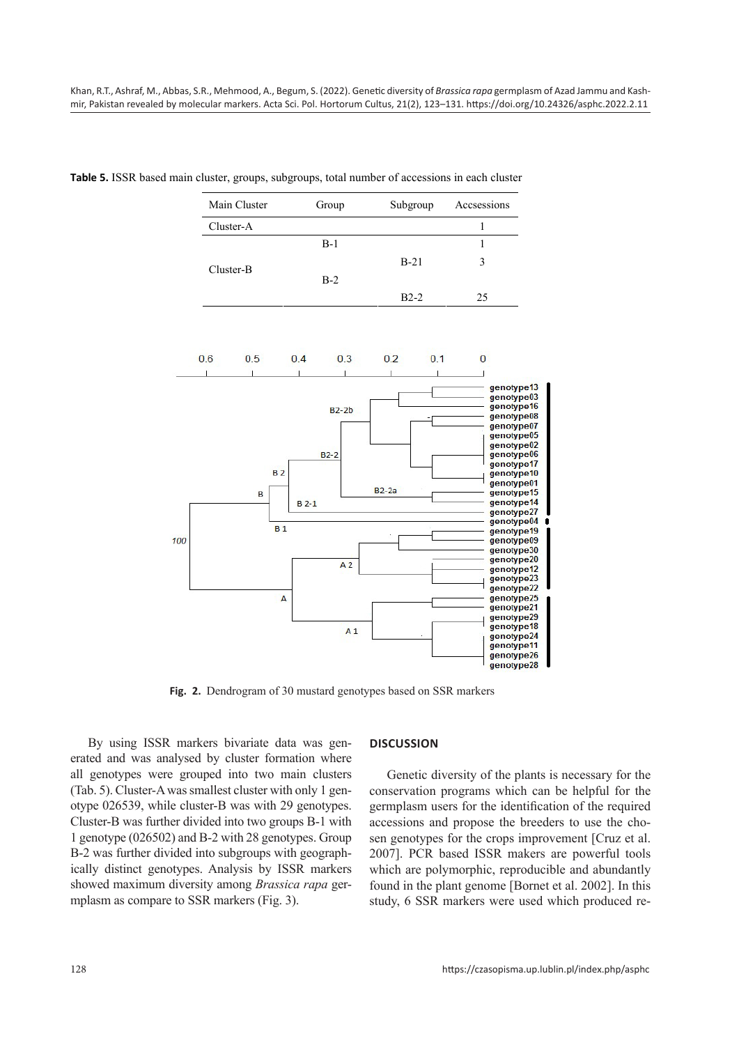| Table 5. ISSR based main cluster, groups, subgroups, total number of accessions in each cluster |  |  |  |  |
|-------------------------------------------------------------------------------------------------|--|--|--|--|
|-------------------------------------------------------------------------------------------------|--|--|--|--|

| Main Cluster | Group | Subgroup | Accsessions |
|--------------|-------|----------|-------------|
| Cluster-A    |       |          |             |
|              | $B-1$ |          |             |
| Cluster-B    |       | $B-21$   | 3           |
|              | $B-2$ |          |             |
|              |       | $B2-2$   | 25          |



**Fig. 2.** Dendrogram of 30 mustard genotypes based on SSR markers

By using ISSR markers bivariate data was generated and was analysed by cluster formation where all genotypes were grouped into two main clusters (Tab. 5). Cluster-A was smallest cluster with only 1 genotype 026539, while cluster-B was with 29 genotypes. Cluster-B was further divided into two groups B-1 with 1 genotype (026502) and B-2 with 28 genotypes. Group B-2 was further divided into subgroups with geographically distinct genotypes. Analysis by ISSR markers showed maximum diversity among *Brassica rapa* germplasm as compare to SSR markers (Fig. 3).

#### **DISCUSSION**

Genetic diversity of the plants is necessary for the conservation programs which can be helpful for the germplasm users for the identification of the required accessions and propose the breeders to use the chosen genotypes for the crops improvement [Cruz et al. 2007]. PCR based ISSR makers are powerful tools which are polymorphic, reproducible and abundantly found in the plant genome [Bornet et al. 2002]. In this study, 6 SSR markers were used which produced re-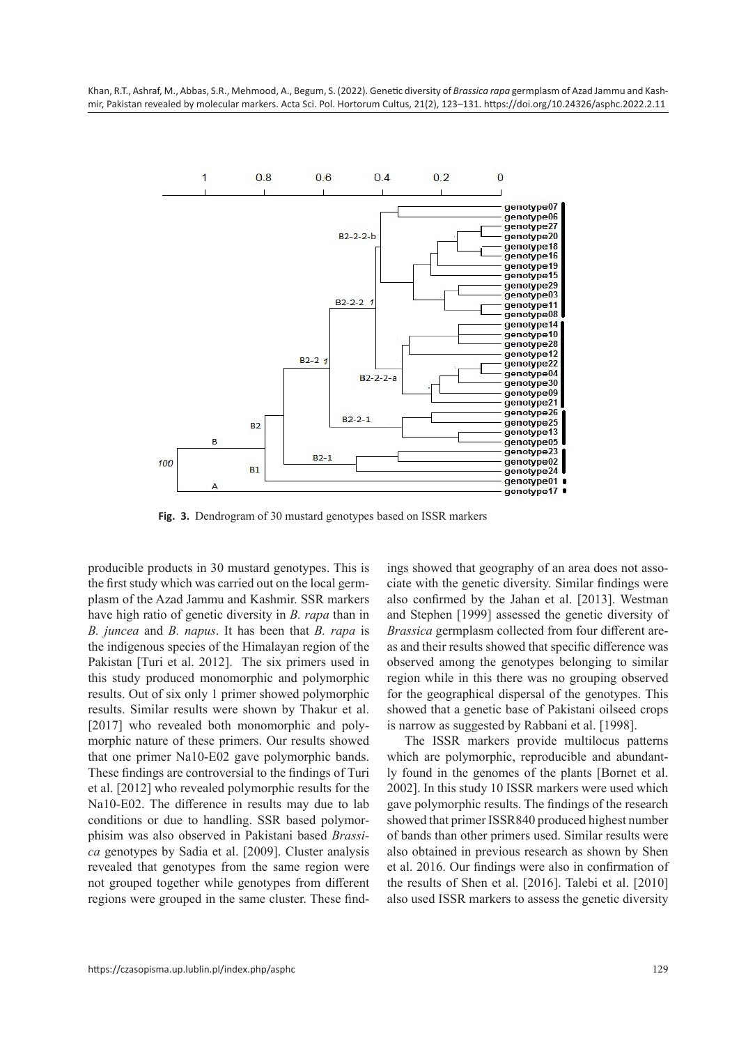

**Fig. 3.** Dendrogram of 30 mustard genotypes based on ISSR markers

producible products in 30 mustard genotypes. This is the first study which was carried out on the local germplasm of the Azad Jammu and Kashmir. SSR markers have high ratio of genetic diversity in *B. rapa* than in *B. juncea* and *B. napus*. It has been that *B. rapa* is the indigenous species of the Himalayan region of the Pakistan [Turi et al. 2012]. The six primers used in this study produced monomorphic and polymorphic results. Out of six only 1 primer showed polymorphic results. Similar results were shown by Thakur et al. [2017] who revealed both monomorphic and polymorphic nature of these primers. Our results showed that one primer Na10-E02 gave polymorphic bands. These findings are controversial to the findings of Turi et al. [2012] who revealed polymorphic results for the Na10-E02. The difference in results may due to lab conditions or due to handling. SSR based polymorphisim was also observed in Pakistani based *Brassica* genotypes by Sadia et al. [2009]. Cluster analysis revealed that genotypes from the same region were not grouped together while genotypes from different regions were grouped in the same cluster. These findings showed that geography of an area does not associate with the genetic diversity. Similar findings were also confirmed by the Jahan et al. [2013]. Westman and Stephen [1999] assessed the genetic diversity of *Brassica* germplasm collected from four different areas and their results showed that specific difference was observed among the genotypes belonging to similar region while in this there was no grouping observed for the geographical dispersal of the genotypes. This showed that a genetic base of Pakistani oilseed crops is narrow as suggested by Rabbani et al. [1998].

The ISSR markers provide multilocus patterns which are polymorphic, reproducible and abundantly found in the genomes of the plants [Bornet et al. 2002]. In this study 10 ISSR markers were used which gave polymorphic results. The findings of the research showed that primer ISSR840 produced highest number of bands than other primers used. Similar results were also obtained in previous research as shown by Shen et al. 2016. Our findings were also in confirmation of the results of Shen et al. [2016]. Talebi et al. [2010] also used ISSR markers to assess the genetic diversity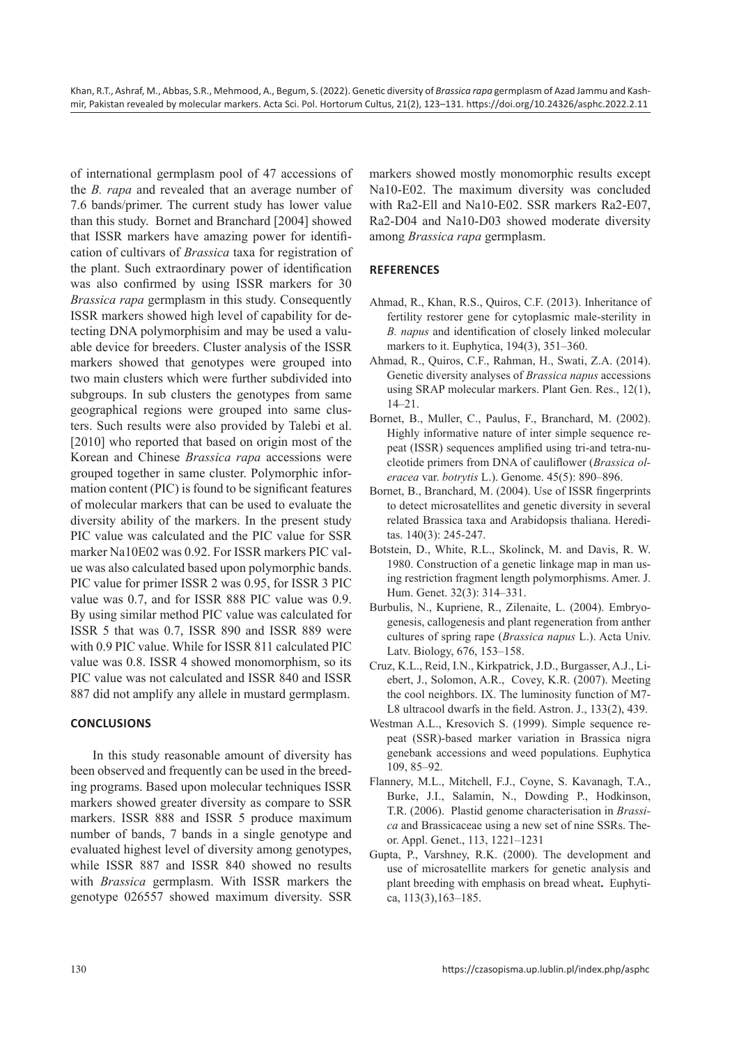of international germplasm pool of 47 accessions of the *B. rapa* and revealed that an average number of 7.6 bands/primer. The current study has lower value than this study. Bornet and Branchard [2004] showed that ISSR markers have amazing power for identification of cultivars of *Brassica* taxa for registration of the plant. Such extraordinary power of identification was also confirmed by using ISSR markers for 30 *Brassica rapa* germplasm in this study. Consequently ISSR markers showed high level of capability for detecting DNA polymorphisim and may be used a valuable device for breeders. Cluster analysis of the ISSR markers showed that genotypes were grouped into two main clusters which were further subdivided into subgroups. In sub clusters the genotypes from same geographical regions were grouped into same clusters. Such results were also provided by Talebi et al. [2010] who reported that based on origin most of the Korean and Chinese *Brassica rapa* accessions were grouped together in same cluster. Polymorphic information content (PIC) is found to be significant features of molecular markers that can be used to evaluate the diversity ability of the markers. In the present study PIC value was calculated and the PIC value for SSR marker Na10E02 was 0.92. For ISSR markers PIC value was also calculated based upon polymorphic bands. PIC value for primer ISSR 2 was 0.95, for ISSR 3 PIC value was 0.7, and for ISSR 888 PIC value was 0.9. By using similar method PIC value was calculated for ISSR 5 that was 0.7, ISSR 890 and ISSR 889 were with 0.9 PIC value. While for ISSR 811 calculated PIC value was 0.8. ISSR 4 showed monomorphism, so its PIC value was not calculated and ISSR 840 and ISSR 887 did not amplify any allele in mustard germplasm.

## **CONCLUSIONS**

 In this study reasonable amount of diversity has been observed and frequently can be used in the breeding programs. Based upon molecular techniques ISSR markers showed greater diversity as compare to SSR markers. ISSR 888 and ISSR 5 produce maximum number of bands, 7 bands in a single genotype and evaluated highest level of diversity among genotypes, while ISSR 887 and ISSR 840 showed no results with *Brassica* germplasm. With ISSR markers the genotype 026557 showed maximum diversity. SSR markers showed mostly monomorphic results except Na10-E02. The maximum diversity was concluded with Ra2-Ell and Na10-E02. SSR markers Ra2-E07, Ra2-D04 and Na10-D03 showed moderate diversity among *Brassica rapa* germplasm.

## **REFERENCES**

- Ahmad, R., Khan, R.S., Quiros, C.F. (2013). Inheritance of fertility restorer gene for cytoplasmic male-sterility in *B. napus* and identification of closely linked molecular markers to it. Euphytica, 194(3), 351–360.
- Ahmad, R., Quiros, C.F., Rahman, H., Swati, Z.A. (2014). Genetic diversity analyses of *Brassica napus* accessions using SRAP molecular markers. Plant Gen. Res., 12(1), 14–21.
- Bornet, B., Muller, C., Paulus, F., Branchard, M. (2002). Highly informative nature of inter simple sequence repeat (ISSR) sequences amplified using tri-and tetra-nucleotide primers from DNA of cauliflower (*Brassica oleracea* var. *botrytis* L.). Genome. 45(5): 890–896.
- Bornet, B., Branchard, M. (2004). Use of ISSR fingerprints to detect microsatellites and genetic diversity in several related Brassica taxa and Arabidopsis thaliana. Hereditas. 140(3): 245-247.
- Botstein, D., White, R.L., Skolinck, M. and Davis, R. W. 1980. Construction of a genetic linkage map in man using restriction fragment length polymorphisms. Amer. J. Hum. Genet. 32(3): 314–331.
- Burbulis, N., Kupriene, R., Zilenaite, L. (2004). Embryogenesis, callogenesis and plant regeneration from anther cultures of spring rape (*Brassica napus* L.). Acta Univ. Latv. Biology, 676, 153–158.
- Cruz, K.L., Reid, I.N., Kirkpatrick, J.D., Burgasser, A.J., Liebert, J., Solomon, A.R., Covey, K.R. (2007). Meeting the cool neighbors. IX. The luminosity function of M7- L8 ultracool dwarfs in the field. Astron. J., 133(2), 439.
- Westman A.L., Kresovich S. (1999). Simple sequence repeat (SSR)-based marker variation in Brassica nigra genebank accessions and weed populations. Euphytica 109, 85–92.
- Flannery, M.L., Mitchell, F.J., Coyne, S. Kavanagh, T.A., Burke, J.I., Salamin, N., Dowding P., Hodkinson, T.R. (2006).Plastid genome characterisation in *Brassica* and Brassicaceae using a new set of nine SSRs. Theor. Appl. Genet., 113, 1221–1231
- Gupta, P., Varshney, R.K. (2000). The development and use of microsatellite markers for genetic analysis and plant breeding with emphasis on bread wheat**.** [Euphyti](https://www.researchgate.net/journal/Euphytica-1573-5060)[ca](https://www.researchgate.net/journal/Euphytica-1573-5060), 113(3),163–185.